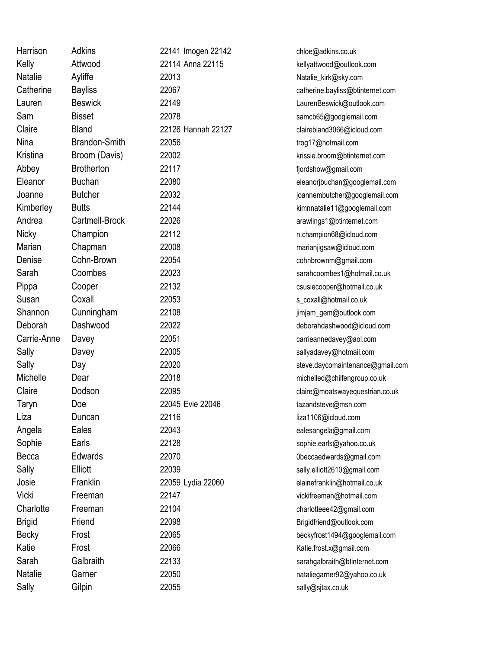| Harrison       | <b>Adkins</b>        | 22141 Imogen 22142 | chloe@adkins.co.uk               |
|----------------|----------------------|--------------------|----------------------------------|
| Kelly          | Attwood              | 22114 Anna 22115   | kellyattwood@outlook.com         |
| <b>Natalie</b> | Ayliffe              | 22013              | Natalie_kirk@sky.com             |
| Catherine      | <b>Bayliss</b>       | 22067              | catherine.bayliss@btinternet.com |
| Lauren         | <b>Beswick</b>       | 22149              | LaurenBeswick@outlook.com        |
| Sam            | <b>Bisset</b>        | 22078              | samcb65@googlemail.com           |
| Claire         | <b>Bland</b>         | 22126 Hannah 22127 | clairebland3066@icloud.com       |
| Nina           | <b>Brandon-Smith</b> | 22056              | trog17@hotmail.com               |
| Kristina       | Broom (Davis)        | 22002              | krissie.broom@btinternet.com     |
| Abbey          | <b>Brotherton</b>    | 22117              | fjordshow@gmail.com              |
| Eleanor        | <b>Buchan</b>        | 22080              | eleanorjbuchan@googlemail.com    |
| Joanne         | <b>Butcher</b>       | 22032              | joannembutcher@googlemail.com    |
| Kimberley      | <b>Butts</b>         | 22144              | kimnnatalie11@googlemail.com     |
| Andrea         | Cartmell-Brock       | 22026              | arawlings1@btinternet.com        |
| <b>Nicky</b>   | Champion             | 22112              | n.champion68@icloud.com          |
| Marian         | Chapman              | 22008              | marianjigsaw@icloud.com          |
| Denise         | Cohn-Brown           | 22054              | cohnbrownm@gmail.com             |
| Sarah          | Coombes              | 22023              | sarahcoombes1@hotmail.co.uk      |
| Pippa          | Cooper               | 22132              | csusiecooper@hotmail.co.uk       |
| Susan          | Coxall               | 22053              | s_coxall@hotmail.co.uk           |
| Shannon        | Cunningham           | 22108              | jimjam_gem@outlook.com           |
| Deborah        | Dashwood             | 22022              | deborahdashwood@icloud.com       |
| Carrie-Anne    | Davey                | 22051              | carrieannedavey@aol.com          |
| Sally          | Davey                | 22005              | sallyadavey@hotmail.com          |
| Sally          | Day                  | 22020              | steve.daycomaintenance@gmail.com |
| Michelle       | Dear                 | 22018              | michelled@chilfengroup.co.uk     |
| Claire         | Dodson               | 22095              | claire@moatswayequestrian.co.uk  |
| Taryn          | Doe                  | 22045 Evie 22046   | tazandsteve@msn.com              |
| Liza           | Duncan               | 22116              | liza1106@icloud.com              |
| Angela         | Eales                | 22043              | ealesangela@gmail.com            |
| Sophie         | Earls                | 22128              | sophie.earls@yahoo.co.uk         |
| Becca          | Edwards              | 22070              | 0beccaedwards@gmail.com          |
| Sally          | Elliott              | 22039              | sally.elliott2610@gmail.com      |
| Josie          | Franklin             | 22059 Lydia 22060  | elainefranklin@hotmail.co.uk     |
| Vicki          | Freeman              | 22147              | vickifreeman@hotmail.com         |
| Charlotte      | Freeman              | 22104              | charlotteee42@gmail.com          |
| <b>Brigid</b>  | Friend               | 22098              | Brigidfriend@outlook.com         |
| Becky          | Frost                | 22065              | beckyfrost1494@googlemail.com    |
| Katie          | Frost                | 22066              | Katie.frost.x@gmail.com          |
| Sarah          | Galbraith            | 22133              | sarahgalbraith@btinternet.com    |
| Natalie        | Garner               | 22050              | nataliegarner92@yahoo.co.uk      |
| Sally          | Gilpin               | 22055              | sally@sjtax.co.uk                |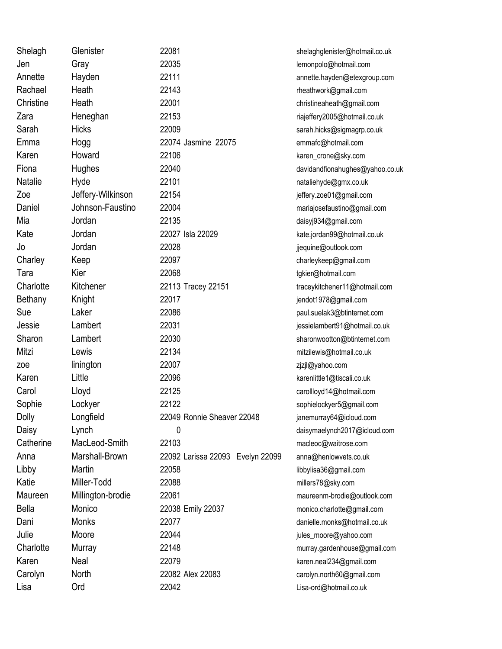| Shelagh      | Glenister         | 22081                            | shelaghglenister@hotmail.co.uk  |
|--------------|-------------------|----------------------------------|---------------------------------|
| Jen          | Gray              | 22035                            | lemonpolo@hotmail.com           |
| Annette      | Hayden            | 22111                            | annette.hayden@etexgroup.com    |
| Rachael      | Heath             | 22143                            | rheathwork@gmail.com            |
| Christine    | Heath             | 22001                            | christineaheath@gmail.com       |
| Zara         | Heneghan          | 22153                            | riajeffery2005@hotmail.co.uk    |
| Sarah        | <b>Hicks</b>      | 22009                            | sarah.hicks@sigmagrp.co.uk      |
| Emma         | Hogg              | 22074 Jasmine 22075              | emmafc@hotmail.com              |
| Karen        | Howard            | 22106                            | karen_crone@sky.com             |
| Fiona        | Hughes            | 22040                            | davidandfionahughes@yahoo.co.uk |
| Natalie      | Hyde              | 22101                            | nataliehyde@gmx.co.uk           |
| Zoe          | Jeffery-Wilkinson | 22154                            | jeffery.zoe01@gmail.com         |
| Daniel       | Johnson-Faustino  | 22004                            | mariajosefaustino@gmail.com     |
| Mia          | Jordan            | 22135                            | daisyj934@gmail.com             |
| Kate         | Jordan            | 22027 Isla 22029                 | kate.jordan99@hotmail.co.uk     |
| Jo           | Jordan            | 22028                            | jjequine@outlook.com            |
| Charley      | Keep              | 22097                            | charleykeep@gmail.com           |
| Tara         | Kier              | 22068                            | tgkier@hotmail.com              |
| Charlotte    | Kitchener         | 22113 Tracey 22151               | traceykitchener11@hotmail.com   |
| Bethany      | Knight            | 22017                            | jendot1978@gmail.com            |
| Sue          | Laker             | 22086                            | paul.suelak3@btinternet.com     |
| Jessie       | Lambert           | 22031                            | jessielambert91@hotmail.co.uk   |
| Sharon       | Lambert           | 22030                            | sharonwootton@btinternet.com    |
| Mitzi        | Lewis             | 22134                            | mitzilewis@hotmail.co.uk        |
| zoe          | linington         | 22007                            | zjzjl@yahoo.com                 |
| Karen        | Little            | 22096                            | karenlittle1@tiscali.co.uk      |
| Carol        | Lloyd             | 22125                            | carollloyd14@hotmail.com        |
| Sophie       | Lockyer           | 22122                            | sophielockyer5@gmail.com        |
| <b>Dolly</b> | Longfield         | 22049 Ronnie Sheaver 22048       | janemurray64@icloud.com         |
| Daisy        | Lynch             | 0                                | daisymaelynch2017@icloud.com    |
| Catherine    | MacLeod-Smith     | 22103                            | macleoc@waitrose.com            |
| Anna         | Marshall-Brown    | 22092 Larissa 22093 Evelyn 22099 | anna@henlowvets.co.uk           |
| Libby        | Martin            | 22058                            | libbylisa36@gmail.com           |
| Katie        | Miller-Todd       | 22088                            | millers78@sky.com               |
| Maureen      | Millington-brodie | 22061                            | maureenm-brodie@outlook.com     |
| <b>Bella</b> | Monico            | 22038 Emily 22037                | monico.charlotte@gmail.com      |
| Dani         | Monks             | 22077                            | danielle.monks@hotmail.co.uk    |
| Julie        | Moore             | 22044                            | jules_moore@yahoo.com           |
| Charlotte    | Murray            | 22148                            | murray.gardenhouse@gmail.com    |
| Karen        | Neal              | 22079                            | karen.neal234@gmail.com         |
| Carolyn      | North             | 22082 Alex 22083                 | carolyn.north60@gmail.com       |
| Lisa         | Ord               | 22042                            | Lisa-ord@hotmail.co.uk          |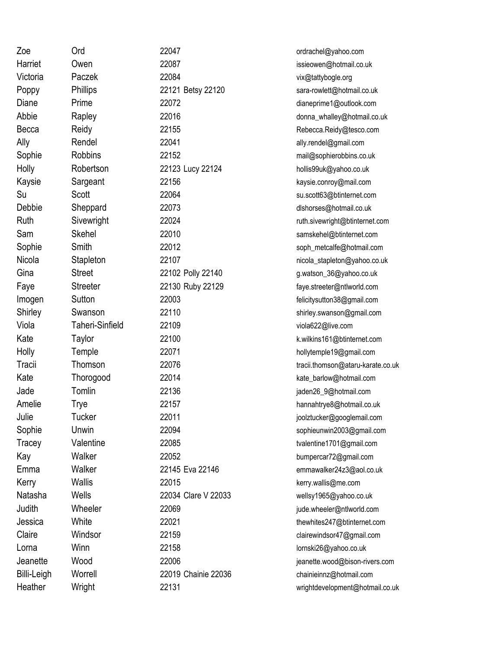| Zoe         | Ord             | 22047               | ordrachel@yahoo.com               |
|-------------|-----------------|---------------------|-----------------------------------|
| Harriet     | Owen            | 22087               | issieowen@hotmail.co.uk           |
| Victoria    | Paczek          | 22084               | vix@tattybogle.org                |
| Poppy       | <b>Phillips</b> | 22121 Betsy 22120   | sara-rowlett@hotmail.co.uk        |
| Diane       | Prime           | 22072               | dianeprime1@outlook.com           |
| Abbie       | Rapley          | 22016               | donna_whalley@hotmail.co.uk       |
| Becca       | Reidy           | 22155               | Rebecca.Reidy@tesco.com           |
| Ally        | Rendel          | 22041               | ally.rendel@gmail.com             |
| Sophie      | <b>Robbins</b>  | 22152               | mail@sophierobbins.co.uk          |
| Holly       | Robertson       | 22123 Lucy 22124    | hollis99uk@yahoo.co.uk            |
| Kaysie      | Sargeant        | 22156               | kaysie.conroy@mail.com            |
| Su          | Scott           | 22064               | su.scott63@btinternet.com         |
| Debbie      | Sheppard        | 22073               | dlshorses@hotmail.co.uk           |
| Ruth        | Sivewright      | 22024               | ruth.sivewright@btinternet.com    |
| Sam         | <b>Skehel</b>   | 22010               | samskehel@btinternet.com          |
| Sophie      | Smith           | 22012               | soph_metcalfe@hotmail.com         |
| Nicola      | Stapleton       | 22107               | nicola_stapleton@yahoo.co.uk      |
| Gina        | <b>Street</b>   | 22102 Polly 22140   | g.watson_36@yahoo.co.uk           |
| Faye        | <b>Streeter</b> | 22130 Ruby 22129    | faye.streeter@ntlworld.com        |
| Imogen      | Sutton          | 22003               | felicitysutton38@gmail.com        |
| Shirley     | Swanson         | 22110               | shirley.swanson@gmail.com         |
| Viola       | Taheri-Sinfield | 22109               | viola622@live.com                 |
| Kate        | Taylor          | 22100               | k.wilkins161@btinternet.com       |
| Holly       | Temple          | 22071               | hollytemple19@gmail.com           |
| Tracii      | Thomson         | 22076               | tracii.thomson@ataru-karate.co.uk |
| Kate        | Thorogood       | 22014               | kate_barlow@hotmail.com           |
| Jade        | Tomlin          | 22136               | jaden26_9@hotmail.com             |
| Amelie      | Trye            | 22157               | hannahtrye8@hotmail.co.uk         |
| Julie       | Tucker          | 22011               | joolztucker@googlemail.com        |
| Sophie      | Unwin           | 22094               | sophieunwin2003@gmail.com         |
| Tracey      | Valentine       | 22085               | tvalentine1701@gmail.com          |
| Kay         | Walker          | 22052               | bumpercar72@gmail.com             |
| Emma        | Walker          | 22145 Eva 22146     | emmawalker24z3@aol.co.uk          |
| Kerry       | <b>Wallis</b>   | 22015               | kerry.wallis@me.com               |
| Natasha     | Wells           | 22034 Clare V 22033 | wellsy1965@yahoo.co.uk            |
| Judith      | Wheeler         | 22069               | jude.wheeler@ntlworld.com         |
| Jessica     | White           | 22021               | thewhites247@btinternet.com       |
| Claire      | Windsor         | 22159               | clairewindsor47@gmail.com         |
| Lorna       | Winn            | 22158               | lornski26@yahoo.co.uk             |
| Jeanette    | Wood            | 22006               | jeanette.wood@bison-rivers.com    |
| Billi-Leigh | Worrell         | 22019 Chainie 22036 | chainieinnz@hotmail.com           |
| Heather     | Wright          | 22131               | wrightdevelopment@hotmail.co.uk   |